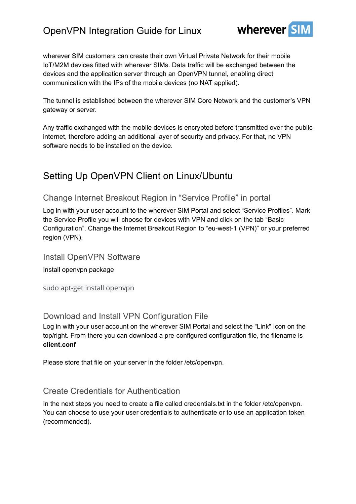

wherever SIM customers can create their own Virtual Private Network for their mobile IoT/M2M devices fitted with wherever SIMs. Data traffic will be exchanged between the devices and the application server through an OpenVPN tunnel, enabling direct communication with the IPs of the mobile devices (no NAT applied).

The tunnel is established between the wherever SIM Core Network and the customer's VPN gateway or server.

Any traffic exchanged with the mobile devices is encrypted before transmitted over the public internet, therefore adding an additional layer of security and privacy. For that, no VPN software needs to be installed on the device.

## Setting Up OpenVPN Client on Linux/Ubuntu

#### Change Internet Breakout Region in "Service Profile" in portal

Log in with your user account to the wherever SIM Portal and select "Service Profiles". Mark the Service Profile you will choose for devices with VPN and click on the tab "Basic Configuration". Change the Internet Breakout Region to "eu-west-1 (VPN)" or your preferred region (VPN).

Install OpenVPN Software

Install openvpn package

sudo apt-get install openvpn

### Download and Install VPN Configuration File

Log in with your user account on the wherever SIM Portal and select the "Link" Icon on the top/right. From there you can download a pre-configured configuration file, the filename is **client.conf**

Please store that file on your server in the folder /etc/openvpn.

### Create Credentials for Authentication

In the next steps you need to create a file called credentials.txt in the folder /etc/openvpn. You can choose to use your user credentials to authenticate or to use an application token (recommended).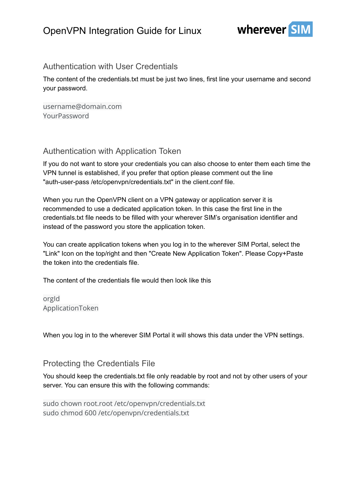

### Authentication with User Credentials

The content of the credentials.txt must be just two lines, first line your username and second your password.

username@domain.com YourPassword

### Authentication with Application Token

If you do not want to store your credentials you can also choose to enter them each time the VPN tunnel is established, if you prefer that option please comment out the line "auth-user-pass /etc/openvpn/credentials.txt" in the client.conf file.

When you run the OpenVPN client on a VPN gateway or application server it is recommended to use a dedicated application token. In this case the first line in the credentials.txt file needs to be filled with your wherever SIM's organisation identifier and instead of the password you store the application token.

You can create application tokens when you log in to the wherever SIM Portal, select the "Link" Icon on the top/right and then "Create New Application Token". Please Copy+Paste the token into the credentials file.

The content of the credentials file would then look like this

orgId ApplicationToken

When you log in to the wherever SIM Portal it will shows this data under the VPN settings.

### Protecting the Credentials File

You should keep the credentials.txt file only readable by root and not by other users of your server. You can ensure this with the following commands:

sudo chown root.root /etc/openvpn/credentials.txt sudo chmod 600 /etc/openvpn/credentials.txt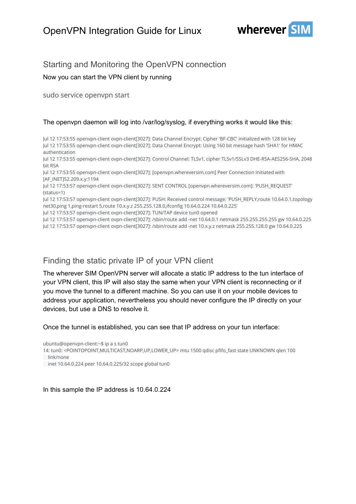

### Starting and Monitoring the OpenVPN connection

Now you can start the VPN client by running

sudo service openvpn start

#### The openvpn daemon will log into /var/log/syslog, if everything works it would like this:

Jul 12 17:53:55 openvpn-client ovpn-client[3027]: Data Channel Encrypt: Cipher 'BF-CBC' initialized with 128 bit key Jul 12 17:53:55 openvpn-client ovpn-client[3027]: Data Channel Encrypt: Using 160 bit message hash 'SHA1' for HMAC authentication

Jul 12 17:53:55 openvpn-client ovpn-client[3027]: Control Channel: TLSv1, cipher TLSv1/SSLv3 DHE-RSA-AES256-SHA, 2048 bit RSA

Jul 12 17:53:55 openvpn-client ovpn-client[3027]: [openvpn.whereversim.com] Peer Connection Initiated with [AF\_INET]52.209.x.y:1194

Jul 12 17:53:57 openvpn-client ovpn-client[3027]: SENT CONTROL [openvpn.whereversim.com]: 'PUSH\_REQUEST' (status=1)

Jul 12 17:53:57 openvpn-client ovpn-client[3027]: PUSH: Received control message: 'PUSH\_REPLY,route 10.64.0.1,topology net30,ping 1,ping-restart 5,route 10.x.y.z 255.255.128.0,ifconfig 10.64.0.224 10.64.0.225'

Jul 12 17:53:57 openvpn-client ovpn-client[3027]: TUN/TAP device tun0 opened

Jul 12 17:53:57 openvpn-client ovpn-client[3027]: /sbin/route add -net 10.64.0.1 netmask 255.255.255.255 gw 10.64.0.225

Jul 12 17:53:57 openvpn-client ovpn-client[3027]: /sbin/route add -net 10.x.y.z netmask 255.255.128.0 gw 10.64.0.225

### Finding the static private IP of your VPN client

The wherever SIM OpenVPN server will allocate a static IP address to the tun interface of your VPN client, this IP will also stay the same when your VPN client is reconnecting or if you move the tunnel to a different machine. So you can use it on your mobile devices to address your application, nevertheless you should never configure the IP directly on your devices, but use a DNS to resolve it.

Once the tunnel is established, you can see that IP address on your tun interface:

ubuntu@openvpn-client:~\$ ip a s tun0

14: tun0: <POINTOPOINT,MULTICAST,NOARP,UP,LOWER\_UP> mtu 1500 qdisc pfifo\_fast state UNKNOWN qlen 100 link/none

In this sample the IP address is 10.64.0.224

inet 10.64.0.224 peer 10.64.0.225/32 scope global tun0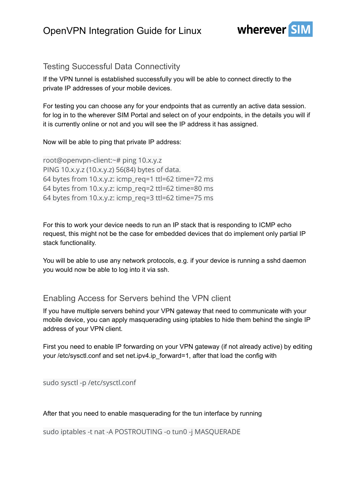

### Testing Successful Data Connectivity

If the VPN tunnel is established successfully you will be able to connect directly to the private IP addresses of your mobile devices.

For testing you can choose any for your endpoints that as currently an active data session. for log in to the wherever SIM Portal and select on of your endpoints, in the details you will if it is currently online or not and you will see the IP address it has assigned.

#### Now will be able to ping that private IP address:

root@openvpn-client:~# ping 10.x.y.z PING 10.x.y.z (10.x.y.z) 56(84) bytes of data. 64 bytes from 10.x.y.z: icmp\_req=1 ttl=62 time=72 ms 64 bytes from 10.x.y.z: icmp\_req=2 ttl=62 time=80 ms 64 bytes from 10.x.y.z: icmp\_req=3 ttl=62 time=75 ms

For this to work your device needs to run an IP stack that is responding to ICMP echo request, this might not be the case for embedded devices that do implement only partial IP stack functionality.

You will be able to use any network protocols, e.g. if your device is running a sshd daemon you would now be able to log into it via ssh.

#### Enabling Access for Servers behind the VPN client

If you have multiple servers behind your VPN gateway that need to communicate with your mobile device, you can apply masquerading using iptables to hide them behind the single IP address of your VPN client.

First you need to enable IP forwarding on your VPN gateway (if not already active) by editing your /etc/sysctl.conf and set net.ipv4.ip forward=1, after that load the config with

sudo sysctl -p /etc/sysctl.conf

After that you need to enable masquerading for the tun interface by running

sudo iptables -t nat -A POSTROUTING -o tun0 -j MASQUERADE